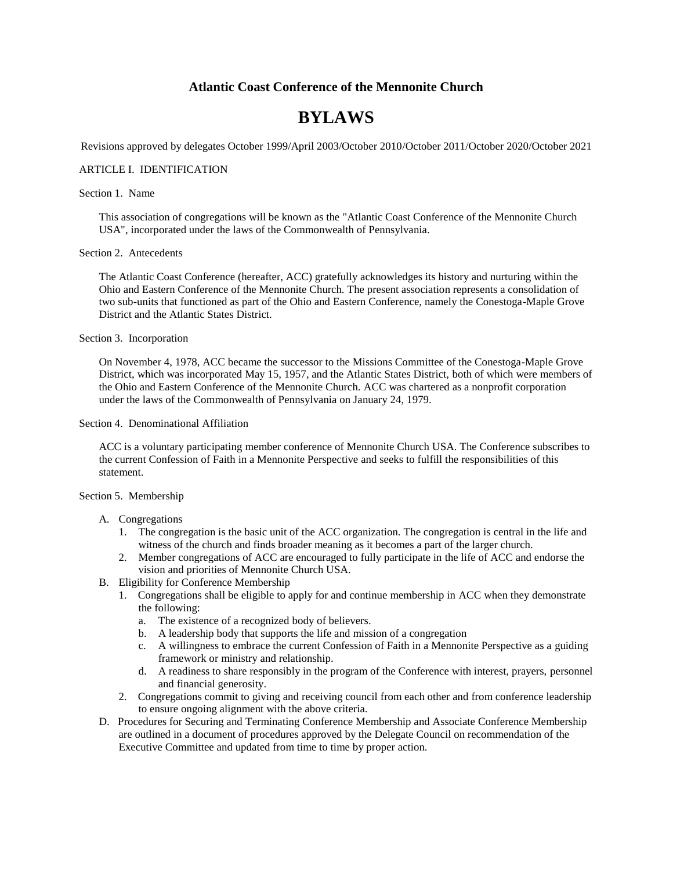# **Atlantic Coast Conference of the Mennonite Church**

# **BYLAWS**

Revisions approved by delegates October 1999/April 2003/October 2010/October 2011/October 2020/October 2021

# ARTICLE I. IDENTIFICATION

## Section 1. Name

This association of congregations will be known as the "Atlantic Coast Conference of the Mennonite Church USA", incorporated under the laws of the Commonwealth of Pennsylvania.

# Section 2. Antecedents

The Atlantic Coast Conference (hereafter, ACC) gratefully acknowledges its history and nurturing within the Ohio and Eastern Conference of the Mennonite Church. The present association represents a consolidation of two sub-units that functioned as part of the Ohio and Eastern Conference, namely the Conestoga-Maple Grove District and the Atlantic States District.

#### Section 3. Incorporation

On November 4, 1978, ACC became the successor to the Missions Committee of the Conestoga-Maple Grove District, which was incorporated May 15, 1957, and the Atlantic States District, both of which were members of the Ohio and Eastern Conference of the Mennonite Church. ACC was chartered as a nonprofit corporation under the laws of the Commonwealth of Pennsylvania on January 24, 1979.

# Section 4. Denominational Affiliation

ACC is a voluntary participating member conference of Mennonite Church USA. The Conference subscribes to the current Confession of Faith in a Mennonite Perspective and seeks to fulfill the responsibilities of this statement.

### Section 5. Membership

## A. Congregations

- 1. The congregation is the basic unit of the ACC organization. The congregation is central in the life and witness of the church and finds broader meaning as it becomes a part of the larger church.
- 2. Member congregations of ACC are encouraged to fully participate in the life of ACC and endorse the vision and priorities of Mennonite Church USA.
- B. Eligibility for Conference Membership
	- 1. Congregations shall be eligible to apply for and continue membership in ACC when they demonstrate the following:
		- a. The existence of a recognized body of believers.
		- b. A leadership body that supports the life and mission of a congregation
		- c. A willingness to embrace the current Confession of Faith in a Mennonite Perspective as a guiding framework or ministry and relationship.
		- d. A readiness to share responsibly in the program of the Conference with interest, prayers, personnel and financial generosity.
	- 2. Congregations commit to giving and receiving council from each other and from conference leadership to ensure ongoing alignment with the above criteria.
- D. Procedures for Securing and Terminating Conference Membership and Associate Conference Membership are outlined in a document of procedures approved by the Delegate Council on recommendation of the Executive Committee and updated from time to time by proper action.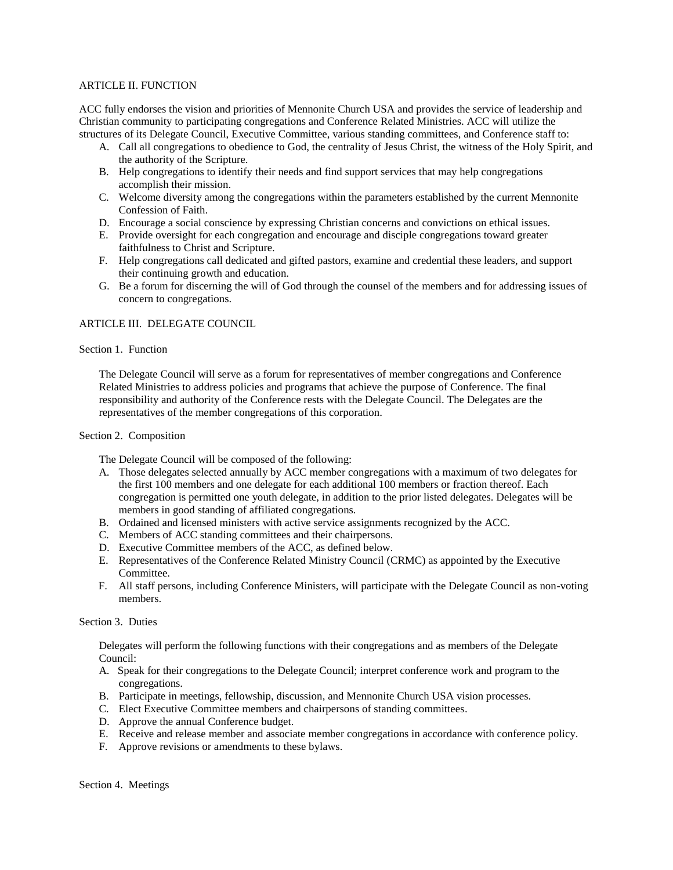# ARTICLE II. FUNCTION

ACC fully endorses the vision and priorities of Mennonite Church USA and provides the service of leadership and Christian community to participating congregations and Conference Related Ministries. ACC will utilize the structures of its Delegate Council, Executive Committee, various standing committees, and Conference staff to:

- A. Call all congregations to obedience to God, the centrality of Jesus Christ, the witness of the Holy Spirit, and the authority of the Scripture.
- B. Help congregations to identify their needs and find support services that may help congregations accomplish their mission.
- C. Welcome diversity among the congregations within the parameters established by the current Mennonite Confession of Faith.
- D. Encourage a social conscience by expressing Christian concerns and convictions on ethical issues.
- E. Provide oversight for each congregation and encourage and disciple congregations toward greater faithfulness to Christ and Scripture.
- F. Help congregations call dedicated and gifted pastors, examine and credential these leaders, and support their continuing growth and education.
- G. Be a forum for discerning the will of God through the counsel of the members and for addressing issues of concern to congregations.

# ARTICLE III. DELEGATE COUNCIL

### Section 1. Function

The Delegate Council will serve as a forum for representatives of member congregations and Conference Related Ministries to address policies and programs that achieve the purpose of Conference. The final responsibility and authority of the Conference rests with the Delegate Council. The Delegates are the representatives of the member congregations of this corporation.

# Section 2. Composition

The Delegate Council will be composed of the following:

- A. Those delegates selected annually by ACC member congregations with a maximum of two delegates for the first 100 members and one delegate for each additional 100 members or fraction thereof. Each congregation is permitted one youth delegate, in addition to the prior listed delegates. Delegates will be members in good standing of affiliated congregations.
- B. Ordained and licensed ministers with active service assignments recognized by the ACC.
- C. Members of ACC standing committees and their chairpersons.
- D. Executive Committee members of the ACC, as defined below.
- E. Representatives of the Conference Related Ministry Council (CRMC) as appointed by the Executive Committee.
- F. All staff persons, including Conference Ministers, will participate with the Delegate Council as non-voting members.

# Section 3. Duties

Delegates will perform the following functions with their congregations and as members of the Delegate Council:

- A. Speak for their congregations to the Delegate Council; interpret conference work and program to the congregations.
- B. Participate in meetings, fellowship, discussion, and Mennonite Church USA vision processes.
- C. Elect Executive Committee members and chairpersons of standing committees.
- D. Approve the annual Conference budget.
- E. Receive and release member and associate member congregations in accordance with conference policy.
- F. Approve revisions or amendments to these bylaws.

Section 4. Meetings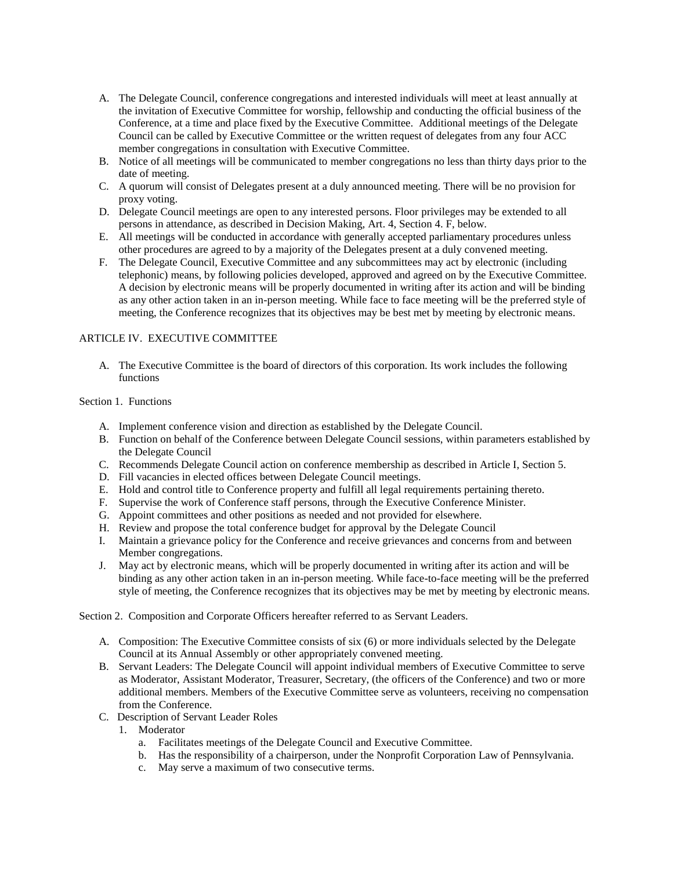- A. The Delegate Council, conference congregations and interested individuals will meet at least annually at the invitation of Executive Committee for worship, fellowship and conducting the official business of the Conference, at a time and place fixed by the Executive Committee. Additional meetings of the Delegate Council can be called by Executive Committee or the written request of delegates from any four ACC member congregations in consultation with Executive Committee.
- B. Notice of all meetings will be communicated to member congregations no less than thirty days prior to the date of meeting.
- C. A quorum will consist of Delegates present at a duly announced meeting. There will be no provision for proxy voting.
- D. Delegate Council meetings are open to any interested persons. Floor privileges may be extended to all persons in attendance, as described in Decision Making, Art. 4, Section 4. F, below.
- E. All meetings will be conducted in accordance with generally accepted parliamentary procedures unless other procedures are agreed to by a majority of the Delegates present at a duly convened meeting.
- F. The Delegate Council, Executive Committee and any subcommittees may act by electronic (including telephonic) means, by following policies developed, approved and agreed on by the Executive Committee. A decision by electronic means will be properly documented in writing after its action and will be binding as any other action taken in an in-person meeting. While face to face meeting will be the preferred style of meeting, the Conference recognizes that its objectives may be best met by meeting by electronic means.

# ARTICLE IV. EXECUTIVE COMMITTEE

A. The Executive Committee is the board of directors of this corporation. Its work includes the following functions

# Section 1. Functions

- A. Implement conference vision and direction as established by the Delegate Council.
- B. Function on behalf of the Conference between Delegate Council sessions, within parameters established by the Delegate Council
- C. Recommends Delegate Council action on conference membership as described in Article I, Section 5.
- D. Fill vacancies in elected offices between Delegate Council meetings.
- E. Hold and control title to Conference property and fulfill all legal requirements pertaining thereto.
- F. Supervise the work of Conference staff persons, through the Executive Conference Minister.
- G. Appoint committees and other positions as needed and not provided for elsewhere.
- H. Review and propose the total conference budget for approval by the Delegate Council
- I. Maintain a grievance policy for the Conference and receive grievances and concerns from and between Member congregations.
- J. May act by electronic means, which will be properly documented in writing after its action and will be binding as any other action taken in an in-person meeting. While face-to-face meeting will be the preferred style of meeting, the Conference recognizes that its objectives may be met by meeting by electronic means.

Section 2. Composition and Corporate Officers hereafter referred to as Servant Leaders.

- A. Composition: The Executive Committee consists of six (6) or more individuals selected by the Delegate Council at its Annual Assembly or other appropriately convened meeting.
- B. Servant Leaders: The Delegate Council will appoint individual members of Executive Committee to serve as Moderator, Assistant Moderator, Treasurer, Secretary, (the officers of the Conference) and two or more additional members. Members of the Executive Committee serve as volunteers, receiving no compensation from the Conference.
- C. Description of Servant Leader Roles
	- 1. Moderator
		- a. Facilitates meetings of the Delegate Council and Executive Committee.
		- b. Has the responsibility of a chairperson, under the Nonprofit Corporation Law of Pennsylvania.
		- c. May serve a maximum of two consecutive terms.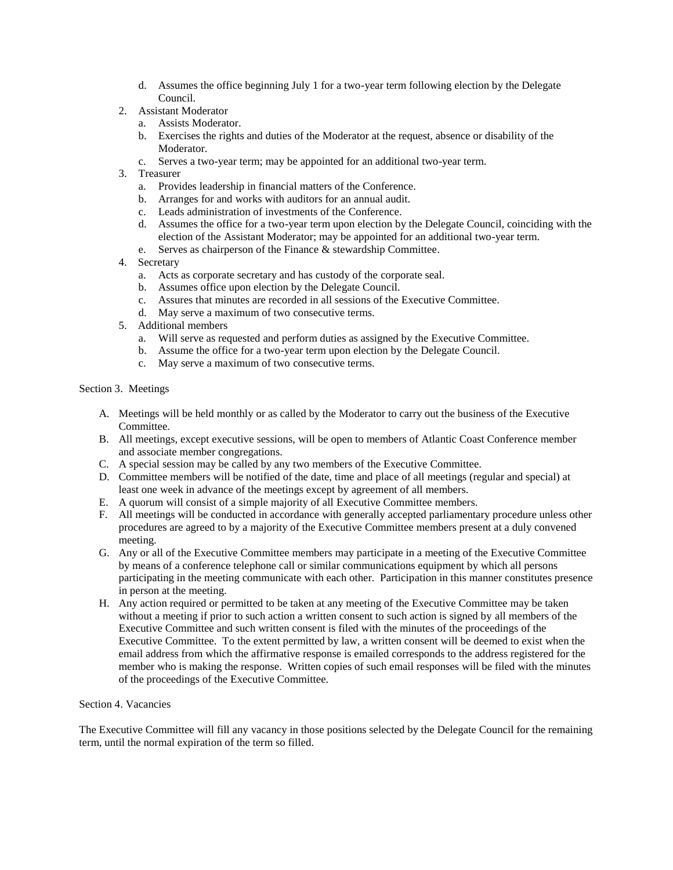- d. Assumes the office beginning July 1 for a two-year term following election by the Delegate Council.
- 2. Assistant Moderator
	- a. Assists Moderator.
	- b. Exercises the rights and duties of the Moderator at the request, absence or disability of the Moderator.
	- c. Serves a two-year term; may be appointed for an additional two-year term.
- 3. Treasurer
	- a. Provides leadership in financial matters of the Conference.
	- b. Arranges for and works with auditors for an annual audit.
	- c. Leads administration of investments of the Conference.
	- d. Assumes the office for a two-year term upon election by the Delegate Council, coinciding with the election of the Assistant Moderator; may be appointed for an additional two-year term.
	- e. Serves as chairperson of the Finance & stewardship Committee.
- 4. Secretary
	- a. Acts as corporate secretary and has custody of the corporate seal.
	- b. Assumes office upon election by the Delegate Council.
	- c. Assures that minutes are recorded in all sessions of the Executive Committee.
	- d. May serve a maximum of two consecutive terms.
- 5. Additional members
	- a. Will serve as requested and perform duties as assigned by the Executive Committee.
	- b. Assume the office for a two-year term upon election by the Delegate Council.
	- c. May serve a maximum of two consecutive terms.

# Section 3. Meetings

- A. Meetings will be held monthly or as called by the Moderator to carry out the business of the Executive Committee.
- B. All meetings, except executive sessions, will be open to members of Atlantic Coast Conference member and associate member congregations.
- C. A special session may be called by any two members of the Executive Committee.
- D. Committee members will be notified of the date, time and place of all meetings (regular and special) at least one week in advance of the meetings except by agreement of all members.
- E. A quorum will consist of a simple majority of all Executive Committee members.
- F. All meetings will be conducted in accordance with generally accepted parliamentary procedure unless other procedures are agreed to by a majority of the Executive Committee members present at a duly convened meeting.
- G. Any or all of the Executive Committee members may participate in a meeting of the Executive Committee by means of a conference telephone call or similar communications equipment by which all persons participating in the meeting communicate with each other. Participation in this manner constitutes presence in person at the meeting.
- H. Any action required or permitted to be taken at any meeting of the Executive Committee may be taken without a meeting if prior to such action a written consent to such action is signed by all members of the Executive Committee and such written consent is filed with the minutes of the proceedings of the Executive Committee. To the extent permitted by law, a written consent will be deemed to exist when the email address from which the affirmative response is emailed corresponds to the address registered for the member who is making the response. Written copies of such email responses will be filed with the minutes of the proceedings of the Executive Committee.

### Section 4. Vacancies

The Executive Committee will fill any vacancy in those positions selected by the Delegate Council for the remaining term, until the normal expiration of the term so filled.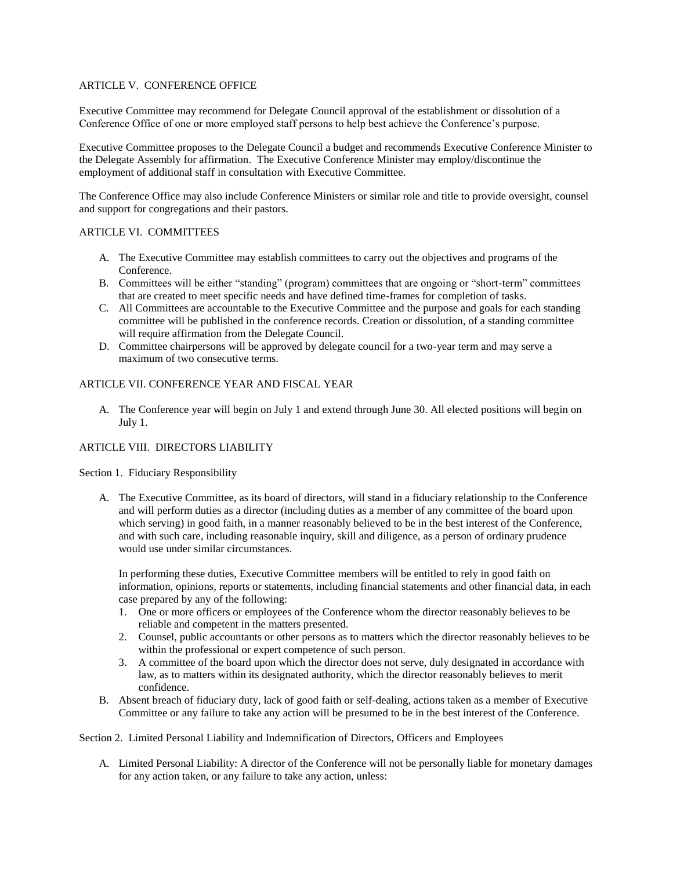# ARTICLE V. CONFERENCE OFFICE

Executive Committee may recommend for Delegate Council approval of the establishment or dissolution of a Conference Office of one or more employed staff persons to help best achieve the Conference's purpose.

Executive Committee proposes to the Delegate Council a budget and recommends Executive Conference Minister to the Delegate Assembly for affirmation. The Executive Conference Minister may employ/discontinue the employment of additional staff in consultation with Executive Committee.

The Conference Office may also include Conference Ministers or similar role and title to provide oversight, counsel and support for congregations and their pastors.

# ARTICLE VI. COMMITTEES

- A. The Executive Committee may establish committees to carry out the objectives and programs of the Conference.
- B. Committees will be either "standing" (program) committees that are ongoing or "short-term" committees that are created to meet specific needs and have defined time-frames for completion of tasks.
- C. All Committees are accountable to the Executive Committee and the purpose and goals for each standing committee will be published in the conference records. Creation or dissolution, of a standing committee will require affirmation from the Delegate Council.
- D. Committee chairpersons will be approved by delegate council for a two-year term and may serve a maximum of two consecutive terms.

# ARTICLE VII. CONFERENCE YEAR AND FISCAL YEAR

A. The Conference year will begin on July 1 and extend through June 30. All elected positions will begin on July 1.

# ARTICLE VIII. DIRECTORS LIABILITY

Section 1. Fiduciary Responsibility

A. The Executive Committee, as its board of directors, will stand in a fiduciary relationship to the Conference and will perform duties as a director (including duties as a member of any committee of the board upon which serving) in good faith, in a manner reasonably believed to be in the best interest of the Conference, and with such care, including reasonable inquiry, skill and diligence, as a person of ordinary prudence would use under similar circumstances.

In performing these duties, Executive Committee members will be entitled to rely in good faith on information, opinions, reports or statements, including financial statements and other financial data, in each case prepared by any of the following:

- 1. One or more officers or employees of the Conference whom the director reasonably believes to be reliable and competent in the matters presented.
- 2. Counsel, public accountants or other persons as to matters which the director reasonably believes to be within the professional or expert competence of such person.
- 3. A committee of the board upon which the director does not serve, duly designated in accordance with law, as to matters within its designated authority, which the director reasonably believes to merit confidence.
- B. Absent breach of fiduciary duty, lack of good faith or self-dealing, actions taken as a member of Executive Committee or any failure to take any action will be presumed to be in the best interest of the Conference.

# Section 2. Limited Personal Liability and Indemnification of Directors, Officers and Employees

A. Limited Personal Liability: A director of the Conference will not be personally liable for monetary damages for any action taken, or any failure to take any action, unless: